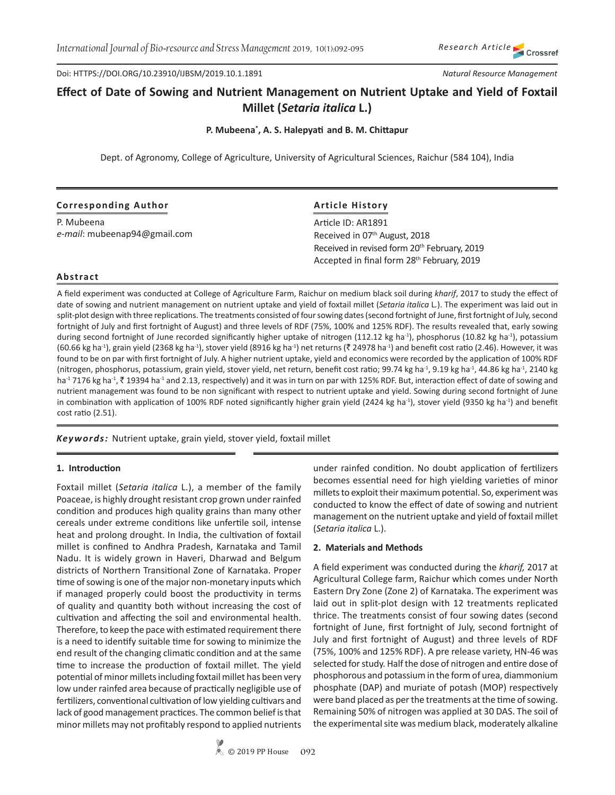*Natural Resource Management Research Article*

Doi: HTTPS://DOI.ORG/10.23910/IJBSM/2019.10.1.1891

# **Effect of Date of Sowing and Nutrient Management on Nutrient Uptake and Yield of Foxtail Millet (***Setaria italica* **L.)**

# **P. Mubeena\* , A. S. Halepyati and B. M. Chittapur**

Dept. of Agronomy, College of Agriculture, University of Agricultural Sciences, Raichur (584 104), India

| <b>Corresponding Author</b>  | <b>Article History</b>                                                                                             |  |  |  |  |
|------------------------------|--------------------------------------------------------------------------------------------------------------------|--|--|--|--|
| P. Mubeena                   | Article ID: AR1891                                                                                                 |  |  |  |  |
| e-mail: mubeenap94@gmail.com | Received in 07th August, 2018                                                                                      |  |  |  |  |
|                              | Received in revised form 20 <sup>th</sup> February, 2019<br>Accepted in final form 28 <sup>th</sup> February, 2019 |  |  |  |  |

### **Abstract**

A field experiment was conducted at College of Agriculture Farm, Raichur on medium black soil during *kharif*, 2017 to study the effect of date of sowing and nutrient management on nutrient uptake and yield of foxtail millet (*Setaria italica* L*.*). The experiment was laid out in split-plot design with three replications. The treatments consisted of four sowing dates (second fortnight of June, first fortnight of July, second fortnight of July and first fortnight of August) and three levels of RDF (75%, 100% and 125% RDF). The results revealed that, early sowing during second fortnight of June recorded significantly higher uptake of nitrogen (112.12 kg ha<sup>-1</sup>), phosphorus (10.82 kg ha<sup>-1</sup>), potassium (60.66 kg ha<sup>-1</sup>), grain yield (2368 kg ha<sup>-1</sup>), stover yield (8916 kg ha<sup>-1</sup>) net returns ( $\bar{\tau}$  24978 ha<sup>-1</sup>) and benefit cost ratio (2.46). However, it was found to be on par with first fortnight of July. A higher nutrient uptake, yield and economics were recorded by the application of 100% RDF (nitrogen, phosphorus, potassium, grain yield, stover yield, net return, benefit cost ratio; 99.74 kg ha<sup>-1</sup>, 9.19 kg ha<sup>-1</sup>, 44.86 kg ha<sup>-1</sup>, 2140 kg ha<sup>-1</sup> 7176 kg ha<sup>-1</sup>, ₹ 19394 ha<sup>-1</sup> and 2.13, respectively) and it was in turn on par with 125% RDF. But, interaction effect of date of sowing and nutrient management was found to be non significant with respect to nutrient uptake and yield. Sowing during second fortnight of June in combination with application of 100% RDF noted significantly higher grain yield (2424 kg ha<sup>-1</sup>), stover yield (9350 kg ha<sup>-1</sup>) and benefit cost ratio (2.51).

*Keywords:* Nutrient uptake, grain yield, stover yield, foxtail millet

# **1. Introduction**

Foxtail millet (*Setaria italica* L.), a member of the family Poaceae, is highly drought resistant crop grown under rainfed condition and produces high quality grains than many other cereals under extreme conditions like unfertile soil, intense heat and prolong drought. In India, the cultivation of foxtail millet is confined to Andhra Pradesh, Karnataka and Tamil Nadu. It is widely grown in Haveri, Dharwad and Belgum districts of Northern Transitional Zone of Karnataka. Proper time of sowing is one of the major non-monetary inputs which if managed properly could boost the productivity in terms of quality and quantity both without increasing the cost of cultivation and affecting the soil and environmental health. Therefore, to keep the pace with estimated requirement there is a need to identify suitable time for sowing to minimize the end result of the changing climatic condition and at the same time to increase the production of foxtail millet. The yield potential of minor millets including foxtail millet has been very low under rainfed area because of practically negligible use of fertilizers, conventional cultivation of low yielding cultivars and lack of good management practices. The common belief is that minor millets may not profitably respond to applied nutrients under rainfed condition. No doubt application of fertilizers becomes essential need for high yielding varieties of minor millets to exploit their maximum potential. So, experiment was conducted to know the effect of date of sowing and nutrient management on the nutrient uptake and yield of foxtail millet (*Setaria italica* L.).

### **2. Materials and Methods**

A field experiment was conducted during the *kharif,* 2017 at Agricultural College farm, Raichur which comes under North Eastern Dry Zone (Zone 2) of Karnataka. The experiment was laid out in split-plot design with 12 treatments replicated thrice. The treatments consist of four sowing dates (second fortnight of June, first fortnight of July, second fortnight of July and first fortnight of August) and three levels of RDF (75%, 100% and 125% RDF). A pre release variety, HN-46 was selected for study. Half the dose of nitrogen and entire dose of phosphorous and potassium in the form of urea, diammonium phosphate (DAP) and muriate of potash (MOP) respectively were band placed as per the treatments at the time of sowing. Remaining 50% of nitrogen was applied at 30 DAS. The soil of the experimental site was medium black, moderately alkaline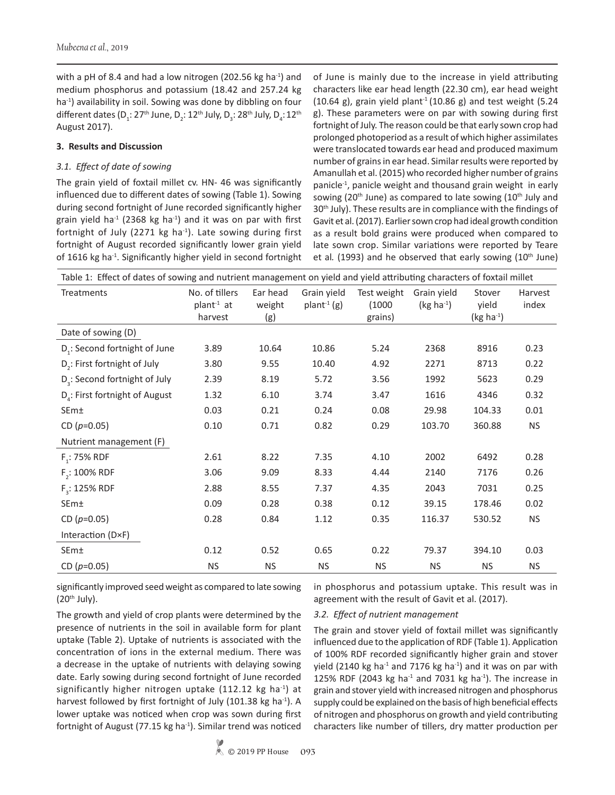with a pH of 8.4 and had a low nitrogen (202.56 kg ha $^{-1}$ ) and medium phosphorus and potassium (18.42 and 257.24 kg ha<sup>-1</sup>) availability in soil. Sowing was done by dibbling on four different dates (D<sub>1</sub>: 27<sup>th</sup> June, D<sub>2</sub>: 12<sup>th</sup> July, D<sub>3</sub>: 28<sup>th</sup> July, D<sub>4</sub>: 12<sup>th</sup> August 2017).

### **3. Results and Discussion**

### *3.1. Effect of date of sowing*

The grain yield of foxtail millet cv. HN- 46 was significantly influenced due to different dates of sowing (Table 1). Sowing during second fortnight of June recorded significantly higher grain yield ha<sup>-1</sup> (2368 kg ha<sup>-1</sup>) and it was on par with first fortnight of July (2271 kg ha $^{-1}$ ). Late sowing during first fortnight of August recorded significantly lower grain yield of 1616 kg ha<sup>-1</sup>. Significantly higher yield in second fortnight of June is mainly due to the increase in yield attributing characters like ear head length (22.30 cm), ear head weight (10.64 g), grain yield plant<sup>-1</sup> (10.86 g) and test weight (5.24 g). These parameters were on par with sowing during first fortnight of July. The reason could be that early sown crop had prolonged photoperiod as a result of which higher assimilates were translocated towards ear head and produced maximum number of grains in ear head. Similar results were reported by Amanullah et al. (2015) who recorded higher number of grains panicle-1, panicle weight and thousand grain weight in early sowing (20<sup>th</sup> June) as compared to late sowing (10<sup>th</sup> July and 30<sup>th</sup> July). These results are in compliance with the findings of Gavit et al. (2017). Earlier sown crop had ideal growth condition as a result bold grains were produced when compared to late sown crop. Similar variations were reported by Teare et al. (1993) and he observed that early sowing (10<sup>th</sup> June)

| Table 1: Effect of dates of sowing and nutrient management on yield and yield attributing characters of foxtail millet |                |           |              |             |             |             |           |  |
|------------------------------------------------------------------------------------------------------------------------|----------------|-----------|--------------|-------------|-------------|-------------|-----------|--|
| <b>Treatments</b>                                                                                                      | No. of tillers | Ear head  | Grain yield  | Test weight | Grain yield | Stover      | Harvest   |  |
|                                                                                                                        | $plant-1$ at   | weight    | $plant-1(g)$ | (1000)      | $(kg ha-1)$ | yield       | index     |  |
|                                                                                                                        | harvest        | (g)       |              | grains)     |             | $(kg ha-1)$ |           |  |
| Date of sowing (D)                                                                                                     |                |           |              |             |             |             |           |  |
| D <sub>1</sub> : Second fortnight of June                                                                              | 3.89           | 10.64     | 10.86        | 5.24        | 2368        | 8916        | 0.23      |  |
| D <sub>2</sub> : First fortnight of July                                                                               | 3.80           | 9.55      | 10.40        | 4.92        | 2271        | 8713        | 0.22      |  |
| D <sub>2</sub> : Second fortnight of July                                                                              | 2.39           | 8.19      | 5.72         | 3.56        | 1992        | 5623        | 0.29      |  |
| D <sub>4</sub> : First fortnight of August                                                                             | 1.32           | 6.10      | 3.74         | 3.47        | 1616        | 4346        | 0.32      |  |
| SEm±                                                                                                                   | 0.03           | 0.21      | 0.24         | 0.08        | 29.98       | 104.33      | 0.01      |  |
| CD $(p=0.05)$                                                                                                          | 0.10           | 0.71      | 0.82         | 0.29        | 103.70      | 360.88      | <b>NS</b> |  |
| Nutrient management (F)                                                                                                |                |           |              |             |             |             |           |  |
| $F_1$ : 75% RDF                                                                                                        | 2.61           | 8.22      | 7.35         | 4.10        | 2002        | 6492        | 0.28      |  |
| F <sub>2</sub> : 100% RDF                                                                                              | 3.06           | 9.09      | 8.33         | 4.44        | 2140        | 7176        | 0.26      |  |
| F <sub>3</sub> : 125% RDF                                                                                              | 2.88           | 8.55      | 7.37         | 4.35        | 2043        | 7031        | 0.25      |  |
| SE <sub>m</sub>                                                                                                        | 0.09           | 0.28      | 0.38         | 0.12        | 39.15       | 178.46      | 0.02      |  |
| CD $(p=0.05)$                                                                                                          | 0.28           | 0.84      | 1.12         | 0.35        | 116.37      | 530.52      | <b>NS</b> |  |
| Interaction (D×F)                                                                                                      |                |           |              |             |             |             |           |  |
| SEm±                                                                                                                   | 0.12           | 0.52      | 0.65         | 0.22        | 79.37       | 394.10      | 0.03      |  |
| CD $(p=0.05)$                                                                                                          | <b>NS</b>      | <b>NS</b> | <b>NS</b>    | <b>NS</b>   | <b>NS</b>   | <b>NS</b>   | <b>NS</b> |  |

significantly improved seed weight as compared to late sowing  $(20<sup>th</sup>$  July).

in phosphorus and potassium uptake. This result was in agreement with the result of Gavit et al. (2017).

The growth and yield of crop plants were determined by the presence of nutrients in the soil in available form for plant uptake (Table 2). Uptake of nutrients is associated with the concentration of ions in the external medium. There was a decrease in the uptake of nutrients with delaying sowing date. Early sowing during second fortnight of June recorded significantly higher nitrogen uptake (112.12 kg ha $^{-1}$ ) at harvest followed by first fortnight of July (101.38 kg ha<sup>-1</sup>). A lower uptake was noticed when crop was sown during first fortnight of August (77.15 kg ha $^{-1}$ ). Similar trend was noticed

# *3.2. Effect of nutrient management*

The grain and stover yield of foxtail millet was significantly influenced due to the application of RDF (Table 1). Application of 100% RDF recorded significantly higher grain and stover yield (2140 kg ha<sup>-1</sup> and 7176 kg ha<sup>-1</sup>) and it was on par with 125% RDF (2043 kg ha<sup>-1</sup> and 7031 kg ha<sup>-1</sup>). The increase in grain and stover yield with increased nitrogen and phosphorus supply could be explained on the basis of high beneficial effects of nitrogen and phosphorus on growth and yield contributing characters like number of tillers, dry matter production per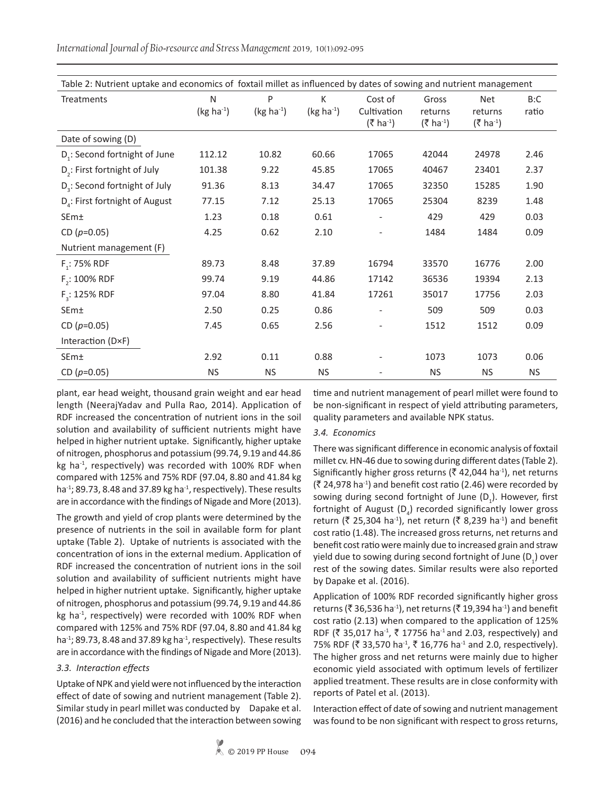Table 2: Nutrient uptake and economics of foxtail millet as influenced by dates of sowing and nutrient management Treatments N  $(kg ha<sup>-1</sup>)$ P  $(kg ha<sup>-1</sup>)$ K  $(kg ha<sup>-1</sup>)$ Cost of **Cultivation**  $($ ₹ ha<sup>-1</sup>) Gross returns  $(3 \hbox{ ha}^{-1})$ Net returns  $(3 \hbox{ ha}^{-1})$ B:C ratio Date of sowing (D) D<sub>1</sub>: Second fortnight of June  $112.12$  10.82 60.66 17065 42044 24978 2.46 D<sub>2</sub>: First fortnight of July 101.38 9.22 45.85 17065 40467 23401 2.37 D<sub>3</sub>: Second fortnight of July  $91.36$  8.13  $34.47$  17065 32350 15285 1.90 D<sub>4</sub>: First fortnight of August and 77.15 7.12 25.13 17065 25304 8239 1.48 SEm± 1.23 0.18 0.61 - 429 429 0.03 CD (*p*=0.05) 4.25 0.62 2.10 - 1484 1484 0.09 Nutrient management (F) F<sub>1</sub>: 75% RDF : 75% RDF 89.73 8.48 37.89 16794 33570 16776 2.00  $F_{2}: 100\%$  RDF : 100% RDF 99.74 9.19 44.86 17142 36536 19394 2.13  $F<sub>3</sub>: 125% RDF$ : 125% RDF 97.04 8.80 41.84 17261 35017 17756 2.03 SEm± 2.50 0.25 0.86 - 509 509 0.03 CD (*p*=0.05) 7.45 0.65 2.56 - 1512 1512 0.09 Interaction (D×F) SEm± 2.92 0.11 0.88 - 1073 1073 0.06 CD (*p*=0.05) NS NS NS - NS NS NS

*International Journal of Bio-resource and Stress Management* 2019, 10(1):092-095

plant, ear head weight, thousand grain weight and ear head length (NeerajYadav and Pulla Rao, 2014). Application of RDF increased the concentration of nutrient ions in the soil solution and availability of sufficient nutrients might have helped in higher nutrient uptake. Significantly, higher uptake of nitrogen, phosphorus and potassium (99.74, 9.19 and 44.86 kg ha<sup>-1</sup>, respectively) was recorded with 100% RDF when compared with 125% and 75% RDF (97.04, 8.80 and 41.84 kg ha $^{-1}$ ; 89.73, 8.48 and 37.89 kg ha $^{-1}$ , respectively). These results are in accordance with the findings of Nigade and More (2013).

The growth and yield of crop plants were determined by the presence of nutrients in the soil in available form for plant uptake (Table 2). Uptake of nutrients is associated with the concentration of ions in the external medium. Application of RDF increased the concentration of nutrient ions in the soil solution and availability of sufficient nutrients might have helped in higher nutrient uptake. Significantly, higher uptake of nitrogen, phosphorus and potassium (99.74, 9.19 and 44.86 kg ha $^{-1}$ , respectively) were recorded with 100% RDF when compared with 125% and 75% RDF (97.04, 8.80 and 41.84 kg ha $^{-1}$ ; 89.73, 8.48 and 37.89 kg ha $^{-1}$ , respectively). These results are in accordance with the findings of Nigade and More (2013).

# *3.3. Interaction effects*

Uptake of NPK and yield were not influenced by the interaction effect of date of sowing and nutrient management (Table 2). Similar study in pearl millet was conducted by Dapake et al. (2016) and he concluded that the interaction between sowing time and nutrient management of pearl millet were found to be non-significant in respect of yield attributing parameters, quality parameters and available NPK status.

### *3.4. Economics*

There was significant difference in economic analysis of foxtail millet cv. HN-46 due to sowing during different dates (Table 2). Significantly higher gross returns ( $\bar{\xi}$  42,044 ha<sup>-1</sup>), net returns  $(3.24, 978$  ha<sup>-1</sup>) and benefit cost ratio (2.46) were recorded by sowing during second fortnight of June  $(D_1)$ . However, first fortnight of August ( $D_4$ ) recorded significantly lower gross return ( $\bar{\tau}$  25,304 ha<sup>-1</sup>), net return ( $\bar{\tau}$  8,239 ha<sup>-1</sup>) and benefit cost ratio (1.48). The increased gross returns, net returns and benefit cost ratio were mainly due to increased grain and straw yield due to sowing during second fortnight of June (D<sub>1</sub>) over rest of the sowing dates. Similar results were also reported by Dapake et al. (2016).

Application of 100% RDF recorded significantly higher gross returns ( $\bar{z}$  36,536 ha<sup>-1</sup>), net returns ( $\bar{z}$  19,394 ha<sup>-1</sup>) and benefit cost ratio (2.13) when compared to the application of 125% RDF ( $\bar{\zeta}$  35,017 ha<sup>-1</sup>,  $\bar{\zeta}$  17756 ha<sup>-1</sup> and 2.03, respectively) and 75% RDF (₹ 33,570 ha<sup>-1</sup>, ₹ 16,776 ha<sup>-1</sup> and 2.0, respectively). The higher gross and net returns were mainly due to higher economic yield associated with optimum levels of fertilizer applied treatment. These results are in close conformity with reports of Patel et al. (2013).

Interaction effect of date of sowing and nutrient management was found to be non significant with respect to gross returns,